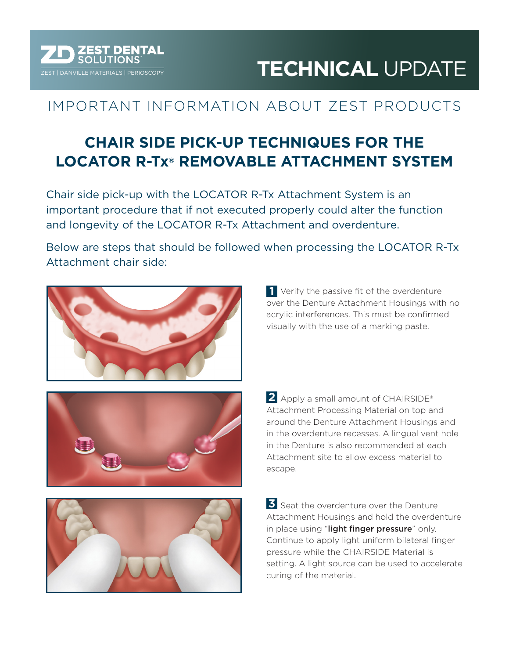# **ZEST DENTAL<br>EST | DANVILLE MATERIALS | PERIOSCOPY <b>TECHNICAL** UPDATE

## IMPORTANT INFORMATION ABOUT ZEST PRODUCTS

## **CHAIR SIDE PICK-UP TECHNIQUES FOR THE LOCATOR R-Tx® REMOVABLE ATTACHMENT SYSTEM**

Chair side pick-up with the LOCATOR R-Tx Attachment System is an important procedure that if not executed properly could alter the function and longevity of the LOCATOR R-Tx Attachment and overdenture.

Below are steps that should be followed when processing the LOCATOR R-Tx Attachment chair side:

escape.





Apply a small amount of CHAIRSIDE® **2** Attachment Processing Material on top and around the Denture Attachment Housings and in the overdenture recesses. A lingual vent hole in the Denture is also recommended at each Attachment site to allow excess material to

Verify the passive fit of the overdenture **1** over the Denture Attachment Housings with no acrylic interferences. This must be confirmed visually with the use of a marking paste.



**3** Seat the overdenture over the Denture Attachment Housings and hold the overdenture in place using "light finger pressure" only. Continue to apply light uniform bilateral finger pressure while the CHAIRSIDE Material is setting. A light source can be used to accelerate curing of the material.